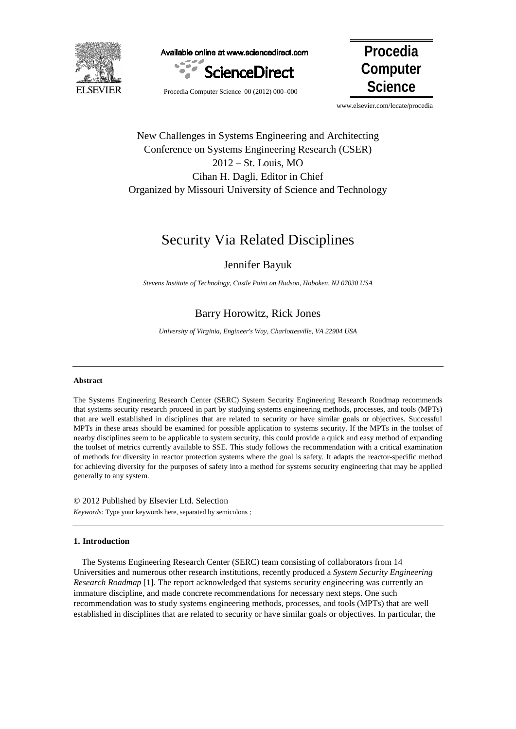

Available online at www.sciencedirect.com



**Procedia Computer**

Procedia Computer Science 00 (2012) 000–000 **Science**

www.elsevier.com/locate/procedia

New Challenges in Systems Engineering and Architecting Conference on Systems Engineering Research (CSER) 2012 – St. Louis, MO Cihan H. Dagli, Editor in Chief Organized by Missouri University of Science and Technology

# Security Via Related Disciplines

Jennifer Bayuk

*Stevens Institute of Technology, Castle Point on Hudson, Hoboken, NJ 07030 USA*

# Barry Horowitz, Rick Jones

*University of Virginia, Engineer's Way, Charlottesville, VA 22904 USA*

# **Abstract**

The Systems Engineering Research Center (SERC) System Security Engineering Research Roadmap recommends that systems security research proceed in part by studying systems engineering methods, processes, and tools (MPTs) that are well established in disciplines that are related to security or have similar goals or objectives. Successful MPTs in these areas should be examined for possible application to systems security. If the MPTs in the toolset of nearby disciplines seem to be applicable to system security, this could provide a quick and easy method of expanding the toolset of metrics currently available to SSE. This study follows the recommendation with a critical examination of methods for diversity in reactor protection systems where the goal is safety. It adapts the reactor-specific method for achieving diversity for the purposes of safety into a method for systems security engineering that may be applied generally to any system.

© 2012 Published by Elsevier Ltd. Selection *Keywords:* Type your keywords here, separated by semicolons ;

# **1. Introduction**

The Systems Engineering Research Center (SERC) team consisting of collaborators from 14 Universities and numerous other research institutions, recently produced a *System Security Engineering Research Roadmap* [\[1\]](#page-5-0). The report acknowledged that systems security engineering was currently an immature discipline, and made concrete recommendations for necessary next steps. One such recommendation was to study systems engineering methods, processes, and tools (MPTs) that are well established in disciplines that are related to security or have similar goals or objectives. In particular, the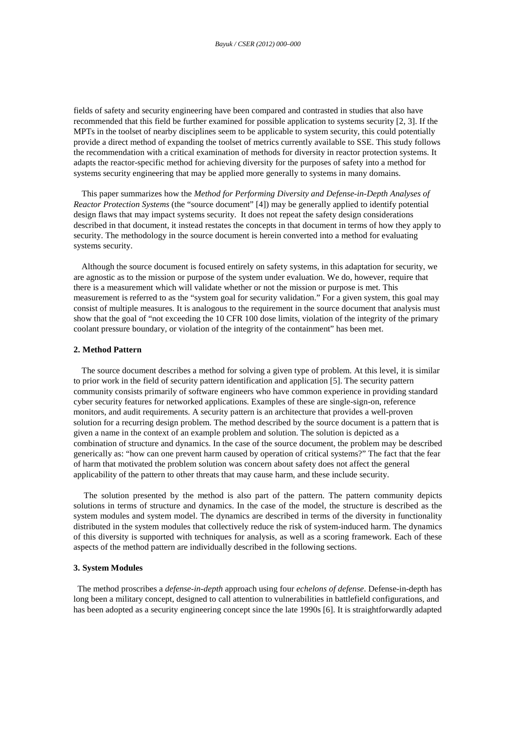fields of safety and security engineering have been compared and contrasted in studies that also have recommended that this field be further examined for possible application to systems security [\[2,](#page-5-1) [3\]](#page-5-2). If the MPTs in the toolset of nearby disciplines seem to be applicable to system security, this could potentially provide a direct method of expanding the toolset of metrics currently available to SSE. This study follows the recommendation with a critical examination of methods for diversity in reactor protection systems. It adapts the reactor-specific method for achieving diversity for the purposes of safety into a method for systems security engineering that may be applied more generally to systems in many domains.

This paper summarizes how the *Method for Performing Diversity and Defense-in-Depth Analyses of Reactor Protection Systems* (the "source document" [\[4\]](#page-6-0)) may be generally applied to identify potential design flaws that may impact systems security. It does not repeat the safety design considerations described in that document, it instead restates the concepts in that document in terms of how they apply to security. The methodology in the source document is herein converted into a method for evaluating systems security.

Although the source document is focused entirely on safety systems, in this adaptation for security, we are agnostic as to the mission or purpose of the system under evaluation. We do, however, require that there is a measurement which will validate whether or not the mission or purpose is met. This measurement is referred to as the "system goal for security validation." For a given system, this goal may consist of multiple measures. It is analogous to the requirement in the source document that analysis must show that the goal of "not exceeding the 10 CFR 100 dose limits, violation of the integrity of the primary coolant pressure boundary, or violation of the integrity of the containment" has been met.

#### **2. Method Pattern**

The source document describes a method for solving a given type of problem. At this level, it is similar to prior work in the field of security pattern identification and application [\[5\]](#page-6-1). The security pattern community consists primarily of software engineers who have common experience in providing standard cyber security features for networked applications. Examples of these are single-sign-on, reference monitors, and audit requirements. A security pattern is an architecture that provides a well-proven solution for a recurring design problem. The method described by the source document is a pattern that is given a name in the context of an example problem and solution. The solution is depicted as a combination of structure and dynamics. In the case of the source document, the problem may be described generically as: "how can one prevent harm caused by operation of critical systems?" The fact that the fear of harm that motivated the problem solution was concern about safety does not affect the general applicability of the pattern to other threats that may cause harm, and these include security.

The solution presented by the method is also part of the pattern. The pattern community depicts solutions in terms of structure and dynamics. In the case of the model, the structure is described as the system modules and system model. The dynamics are described in terms of the diversity in functionality distributed in the system modules that collectively reduce the risk of system-induced harm. The dynamics of this diversity is supported with techniques for analysis, as well as a scoring framework. Each of these aspects of the method pattern are individually described in the following sections.

#### **3. System Modules**

The method proscribes a *defense-in-depth* approach using four *echelons of defense*. Defense-in-depth has long been a military concept, designed to call attention to vulnerabilities in battlefield configurations, and has been adopted as a security engineering concept since the late 1990s [\[6\]](#page-6-2). It is straightforwardly adapted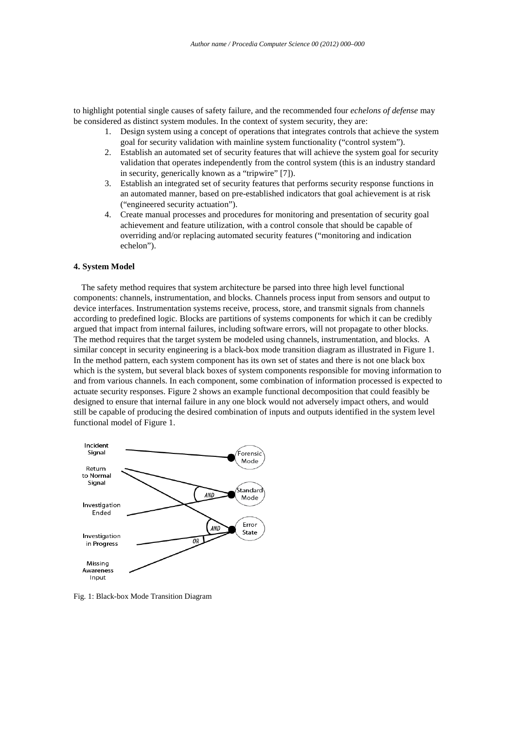to highlight potential single causes of safety failure, and the recommended four *echelons of defense* may be considered as distinct system modules. In the context of system security, they are:

- 1. Design system using a concept of operations that integrates controls that achieve the system goal for security validation with mainline system functionality ("control system").
- 2. Establish an automated set of security features that will achieve the system goal for security validation that operates independently from the control system (this is an industry standard in security, generically known as a "tripwire" [\[7\]](#page-6-3)).
- 3. Establish an integrated set of security features that performs security response functions in an automated manner, based on pre-established indicators that goal achievement is at risk ("engineered security actuation").
- 4. Create manual processes and procedures for monitoring and presentation of security goal achievement and feature utilization, with a control console that should be capable of overriding and/or replacing automated security features ("monitoring and indication echelon").

# **4. System Model**

The safety method requires that system architecture be parsed into three high level functional components: channels, instrumentation, and blocks. Channels process input from sensors and output to device interfaces. Instrumentation systems receive, process, store, and transmit signals from channels according to predefined logic. Blocks are partitions of systems components for which it can be credibly argued that impact from internal failures, including software errors, will not propagate to other blocks. The method requires that the target system be modeled using channels, instrumentation, and blocks. A similar concept in security engineering is a black-box mode transition diagram as illustrated in Figure 1. In the method pattern, each system component has its own set of states and there is not one black box which is the system, but several black boxes of system components responsible for moving information to and from various channels. In each component, some combination of information processed is expected to actuate security responses. Figure 2 shows an example functional decomposition that could feasibly be designed to ensure that internal failure in any one block would not adversely impact others, and would still be capable of producing the desired combination of inputs and outputs identified in the system level functional model of Figure 1.



Fig. 1: Black-box Mode Transition Diagram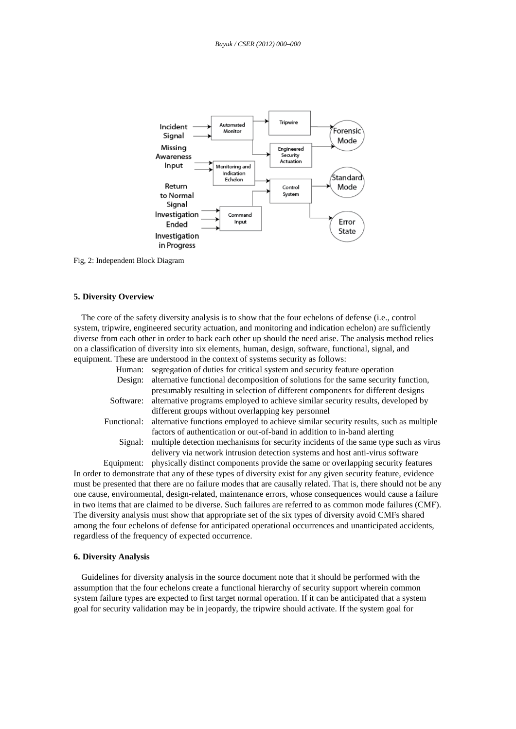

Fig, 2: Independent Block Diagram

#### **5. Diversity Overview**

The core of the safety diversity analysis is to show that the four echelons of defense (i.e., control system, tripwire, engineered security actuation, and monitoring and indication echelon) are sufficiently diverse from each other in order to back each other up should the need arise. The analysis method relies on a classification of diversity into six elements, human, design, software, functional, signal, and equipment. These are understood in the context of systems security as follows:

Human: segregation of duties for critical system and security feature operation Design: alternative functional decomposition of solutions for the same security function, presumably resulting in selection of different components for different designs Software: alternative programs employed to achieve similar security results, developed by different groups without overlapping key personnel Functional: alternative functions employed to achieve similar security results, such as multiple factors of authentication or out-of-band in addition to in-band alerting Signal: multiple detection mechanisms for security incidents of the same type such as virus delivery via network intrusion detection systems and host anti-virus software

Equipment: physically distinct components provide the same or overlapping security features In order to demonstrate that any of these types of diversity exist for any given security feature, evidence must be presented that there are no failure modes that are causally related. That is, there should not be any one cause, environmental, design-related, maintenance errors, whose consequences would cause a failure in two items that are claimed to be diverse. Such failures are referred to as common mode failures (CMF). The diversity analysis must show that appropriate set of the six types of diversity avoid CMFs shared among the four echelons of defense for anticipated operational occurrences and unanticipated accidents, regardless of the frequency of expected occurrence.

#### **6. Diversity Analysis**

Guidelines for diversity analysis in the source document note that it should be performed with the assumption that the four echelons create a functional hierarchy of security support wherein common system failure types are expected to first target normal operation. If it can be anticipated that a system goal for security validation may be in jeopardy, the tripwire should activate. If the system goal for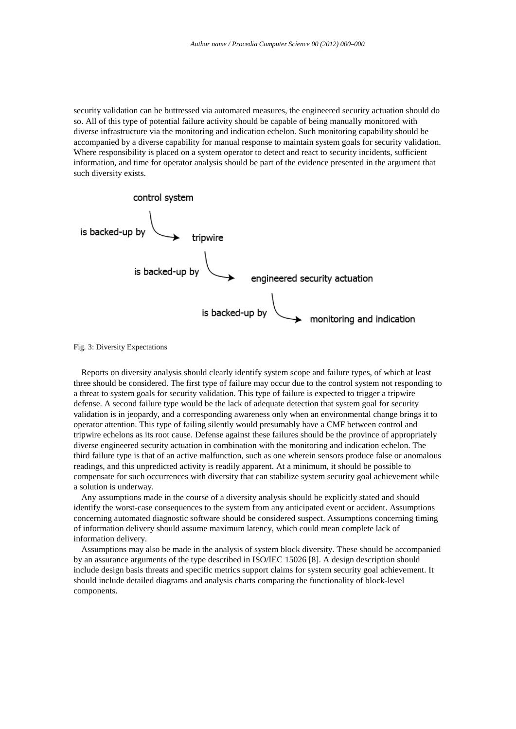security validation can be buttressed via automated measures, the engineered security actuation should do so. All of this type of potential failure activity should be capable of being manually monitored with diverse infrastructure via the monitoring and indication echelon. Such monitoring capability should be accompanied by a diverse capability for manual response to maintain system goals for security validation. Where responsibility is placed on a system operator to detect and react to security incidents, sufficient information, and time for operator analysis should be part of the evidence presented in the argument that such diversity exists.



Fig. 3: Diversity Expectations

Reports on diversity analysis should clearly identify system scope and failure types, of which at least three should be considered. The first type of failure may occur due to the control system not responding to a threat to system goals for security validation. This type of failure is expected to trigger a tripwire defense. A second failure type would be the lack of adequate detection that system goal for security validation is in jeopardy, and a corresponding awareness only when an environmental change brings it to operator attention. This type of failing silently would presumably have a CMF between control and tripwire echelons as its root cause. Defense against these failures should be the province of appropriately diverse engineered security actuation in combination with the monitoring and indication echelon. The third failure type is that of an active malfunction, such as one wherein sensors produce false or anomalous readings, and this unpredicted activity is readily apparent. At a minimum, it should be possible to compensate for such occurrences with diversity that can stabilize system security goal achievement while a solution is underway.

Any assumptions made in the course of a diversity analysis should be explicitly stated and should identify the worst-case consequences to the system from any anticipated event or accident. Assumptions concerning automated diagnostic software should be considered suspect. Assumptions concerning timing of information delivery should assume maximum latency, which could mean complete lack of information delivery.

Assumptions may also be made in the analysis of system block diversity. These should be accompanied by an assurance arguments of the type described in ISO/IEC 15026 [\[8\]](#page-6-4). A design description should include design basis threats and specific metrics support claims for system security goal achievement. It should include detailed diagrams and analysis charts comparing the functionality of block-level components.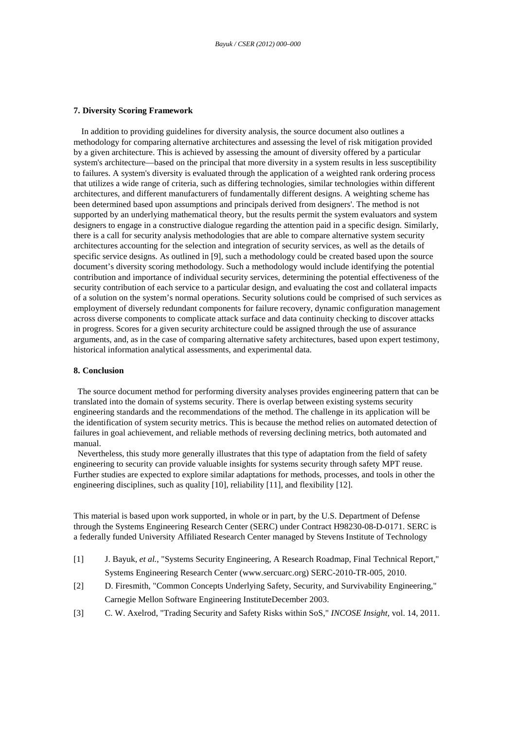### **7. Diversity Scoring Framework**

In addition to providing guidelines for diversity analysis, the source document also outlines a methodology for comparing alternative architectures and assessing the level of risk mitigation provided by a given architecture. This is achieved by assessing the amount of diversity offered by a particular system's architecture—based on the principal that more diversity in a system results in less susceptibility to failures. A system's diversity is evaluated through the application of a weighted rank ordering process that utilizes a wide range of criteria, such as differing technologies, similar technologies within different architectures, and different manufacturers of fundamentally different designs. A weighting scheme has been determined based upon assumptions and principals derived from designers'. The method is not supported by an underlying mathematical theory, but the results permit the system evaluators and system designers to engage in a constructive dialogue regarding the attention paid in a specific design. Similarly, there is a call for security analysis methodologies that are able to compare alternative system security architectures accounting for the selection and integration of security services, as well as the details of specific service designs. As outlined in [\[9\]](#page-6-5), such a methodology could be created based upon the source document's diversity scoring methodology. Such a methodology would include identifying the potential contribution and importance of individual security services, determining the potential effectiveness of the security contribution of each service to a particular design, and evaluating the cost and collateral impacts of a solution on the system's normal operations. Security solutions could be comprised of such services as employment of diversely redundant components for failure recovery, dynamic configuration management across diverse components to complicate attack surface and data continuity checking to discover attacks in progress. Scores for a given security architecture could be assigned through the use of assurance arguments, and, as in the case of comparing alternative safety architectures, based upon expert testimony, historical information analytical assessments, and experimental data.

### **8. Conclusion**

The source document method for performing diversity analyses provides engineering pattern that can be translated into the domain of systems security. There is overlap between existing systems security engineering standards and the recommendations of the method. The challenge in its application will be the identification of system security metrics. This is because the method relies on automated detection of failures in goal achievement, and reliable methods of reversing declining metrics, both automated and manual.

Nevertheless, this study more generally illustrates that this type of adaptation from the field of safety engineering to security can provide valuable insights for systems security through safety MPT reuse. Further studies are expected to explore similar adaptations for methods, processes, and tools in other the engineering disciplines, such as quality [\[10\]](#page-6-6), reliability [\[11\]](#page-6-7), and flexibility [\[12\]](#page-6-8).

This material is based upon work supported, in whole or in part, by the U.S. Department of Defense through the Systems Engineering Research Center (SERC) under Contract H98230-08-D-0171. SERC is a federally funded University Affiliated Research Center managed by Stevens Institute of Technology

- <span id="page-5-0"></span>[1] J. Bayuk*, et al.*, "Systems Security Engineering, A Research Roadmap, Final Technical Report," Systems Engineering Research Center [\(www.sercuarc.org\)](http://www.sercuarc.org/) SERC-2010-TR-005, 2010.
- <span id="page-5-1"></span>[2] D. Firesmith, "Common Concepts Underlying Safety, Security, and Survivability Engineering," Carnegie Mellon Software Engineering InstituteDecember 2003.
- <span id="page-5-2"></span>[3] C. W. Axelrod, "Trading Security and Safety Risks within SoS," *INCOSE Insight,* vol. 14, 2011.